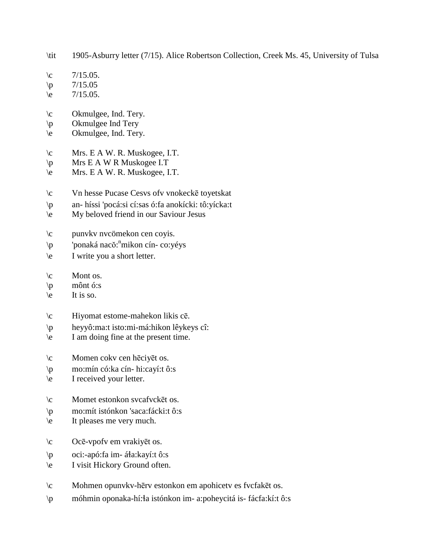\tit 1905-Asburry letter (7/15). Alice Robertson Collection, Creek Ms. 45, University of Tulsa

- $\c$  7/15.05.
- $\pi$  7/15.05
- $\leq$  7/15.05.
- \c Okmulgee, Ind. Tery.
- \p Okmulgee Ind Tery
- \e Okmulgee, Ind. Tery.
- \c Mrs. E A W. R. Muskogee, I.T.
- \p Mrs E A W R Muskogee I.T
- \e Mrs. E A W. R. Muskogee, I.T.
- \c Vn hesse Pucase Cesvs ofv vnokeckē toyetskat
- \p an- híssi 'pocá:si cí:sas ó:fa anokícki: tô:yícka:t
- \e My beloved friend in our Saviour Jesus
- \c punvkv nvcömekon cen coyis.
- \p 'ponaká nacŏ: n mikon cín- co:yéys
- \e I write you a short letter.
- $\operatorname{C}$  Mont os.
- \p mônt ó:s
- $\le$  It is so.
- \c Hiyomat estome-mahekon likis cē.
- \p heyyô:ma:t isto:mi-má:hikon lêykeys cî:
- \e I am doing fine at the present time.
- \c Momen cokv cen hēciyēt os.
- \p mo:mín có:ka cín- hi:cayí:t ô:s
- \e I received your letter.
- \c Momet estonkon svcafvckēt os.
- \p mo:mít istónkon 'saca:fácki:t ô:s
- \e It pleases me very much.
- \c Ocē-vpofv em vrakiyēt os.
- \p oci:-apó:fa im- á!a:kayí:t ô:s
- \e I visit Hickory Ground often.
- \c Mohmen opunvkv-hērv estonkon em apohicetv es fvcfakēt os.
- \p móhmin oponaka-hí:!a istónkon im- a:poheycitá is- fácfa:kí:t ô:s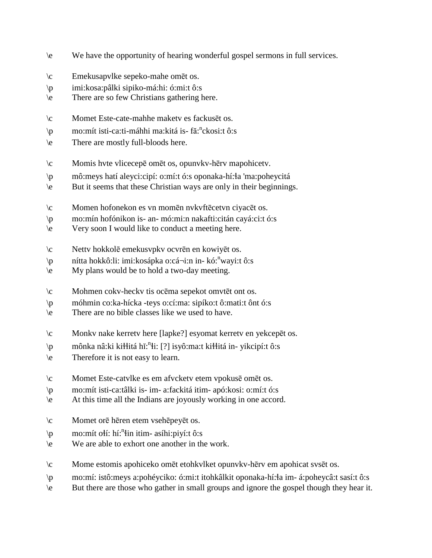- \e We have the opportunity of hearing wonderful gospel sermons in full services.
- \c Emekusapvlke sepeko-mahe omēt os.
- \p imi:kosa:pâlki sipiko-má:hi: ó:mi:t ô:s
- \e There are so few Christians gathering here.
- \c Momet Este-cate-mahhe maketv es fackusēt os.
- \p mo:mít isti-ca:ti-máhhi ma:kitá is- fă:<sup>n</sup>ckosi:t ô:s
- \e There are mostly full-bloods here.
- \c Momis hvte vlicecepē omēt os, opunvkv-hērv mapohicetv.
- \p mô:meys hatí aleyci:cipí: o:mí:t ó:s oponaka-hí:!a 'ma:poheycitá
- \e But it seems that these Christian ways are only in their beginnings.
- \c Momen hofonekon es vn momēn nvkvftēcetvn ciyacēt os.
- \p mo:mín hofónikon is- an- mó:mi:n nakafti:citán cayá:ci:t ó:s
- \e Very soon I would like to conduct a meeting here.
- \c Nettv hokkolē emekusvpkv ocvrēn en kowiyēt os.
- \p nítta hokkô:li: imi:kosápka o:cá¬i:n in- kó:<sup>n</sup>wayi:t ô:s
- \e My plans would be to hold a two-day meeting.
- \c Mohmen cokv-heckv tis ocēma sepekot omvtēt ont os.
- \p móhmin co:ka-hícka -teys o:cí:ma: sipíko:t ô:mati:t ônt ó:s
- \e There are no bible classes like we used to have.
- \c Monkv nake kerretv here [lapke?] esyomat kerretv en yekcepēt os.
- \p mônka nâ:ki ki\itá hĭ:<sup>n</sup>i: [?] isyô:ma:t ki\itá in- yikcipí:t ô:s
- \e Therefore it is not easy to learn.
- \c Momet Este-catvlke es em afvcketv etem vpokusē omēt os.
- \p mo:mít isti-ca:tâlki is- im- a:fackitá itim- apó:kosi: o:mí:t ó:s
- \e At this time all the Indians are joyously working in one accord.
- \c Momet orē hēren etem vsehēpeyēt os.
- \p mo:mít oli: hí:<sup>n</sup>lin itim- asíhi:piyí:t ô:s
- \e We are able to exhort one another in the work.
- \c Mome estomis apohiceko omēt etohkvlket opunvkv-hērv em apohicat svsēt os.
- \p mo:mí: istô:meys a:pohéyciko: ó:mi:t itohkâlkit oponaka-hí:!a im- á:poheycâ:t sasí:t ô:s
- \e But there are those who gather in small groups and ignore the gospel though they hear it.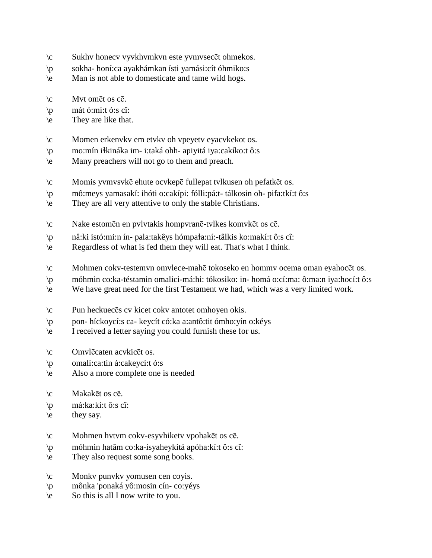- \c Sukhv honecv vyvkhvmkvn este yvmvsecēt ohmekos.
- \p sokha- honí:ca ayakhámkan ísti yamási:cít óhmiko:s
- \e Man is not able to domesticate and tame wild hogs.
- \c Mvt omēt os cē.
- $\pi$  mát ó:mi:t ó:s cî:
- \e They are like that.
- \c Momen erkenvkv em etvkv oh vpeyetv eyacvkekot os.
- \p mo:mín i!kináka im- i:taká ohh- apiyitá iya:cakíko:t ô:s
- \e Many preachers will not go to them and preach.
- \c Momis yvmvsvkē ehute ocvkepē fullepat tvlkusen oh pefatkēt os.
- \p mô:meys yamasakí: ihóti o:cakípi: fólli:pá:t- tálkosin oh- pifa:tkí:t ô:s
- \e They are all very attentive to only the stable Christians.
- \c Nake estomēn en pvlvtakis hompvranē-tvlkes komvkēt os cē.
- $\pi$  nâ:ki istó:mi:n ín- pala:takêys hómpa $a$ :ní:-tâlkis ko:makí:t ô:s cî:
- \e Regardless of what is fed them they will eat. That's what I think.
- \c Mohmen cokv-testemvn omvlece-mahē tokoseko en hommv ocema oman eyahocēt os.
- \p móhmin co:ka-téstamin omalici-má:hi: tókosiko: in- homá o:cí:ma: ô:ma:n iya:hocí:t ô:s
- \e We have great need for the first Testament we had, which was a very limited work.
- \c Pun heckuecēs cv kicet cokv antotet omhoyen okis.
- \p pon- híckoycí:s ca- keycít có:ka a:antô:tit ómho:yín o:kéys
- \e I received a letter saying you could furnish these for us.
- \c Omvlēcaten acvkicēt os.
- \p omalí:ca:tin á:cakeycí:t ó:s
- \e Also a more complete one is needed
- \c Makakēt os cē.
- \p má:ka:kí:t ô:s cî:
- $\text{e}$  they say.
- \c Mohmen hvtvm cokv-esyvhiketv vpohakēt os cē.
- \p móhmin hatâm co:ka-isyaheykitá apóha:kí:t ô:s cî:
- \e They also request some song books.
- \c Monkv punvkv yomusen cen coyis.
- \p mônka 'ponaká yô:mosin cín- co:yéys
- $\neq$  So this is all I now write to you.